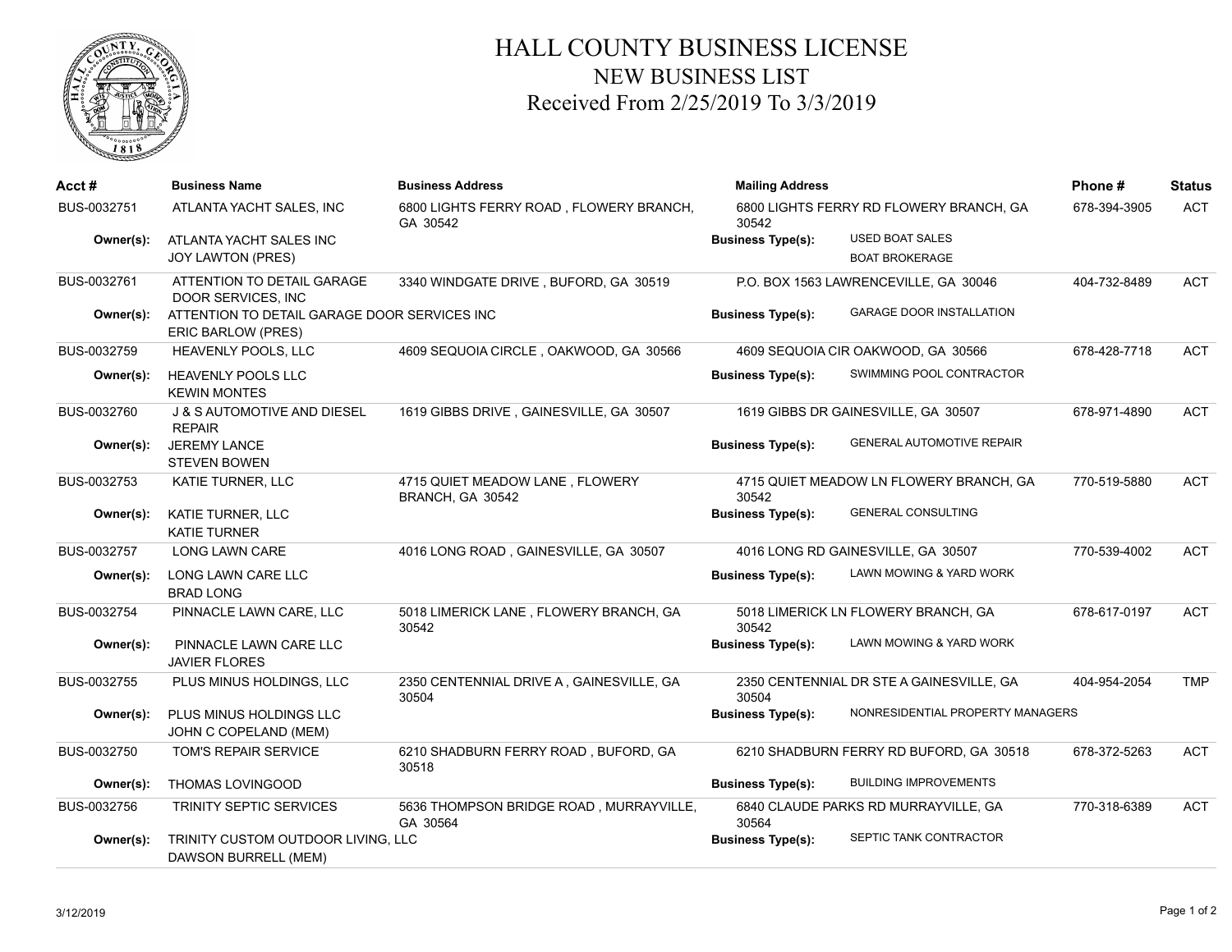

## HALL COUNTY BUSINESS LICENSE NEW BUSINESS LIST Received From 2/25/2019 To 3/3/2019

| Acct #      | <b>Business Name</b>                                                      | <b>Business Address</b>                             | <b>Mailing Address</b><br>6800 LIGHTS FERRY RD FLOWERY BRANCH, GA<br>30542 |                                          | Phone#       | <b>Status</b> |
|-------------|---------------------------------------------------------------------------|-----------------------------------------------------|----------------------------------------------------------------------------|------------------------------------------|--------------|---------------|
| BUS-0032751 | ATLANTA YACHT SALES, INC                                                  | 6800 LIGHTS FERRY ROAD, FLOWERY BRANCH,<br>GA 30542 |                                                                            |                                          | 678-394-3905 | <b>ACT</b>    |
| Owner(s):   | ATLANTA YACHT SALES INC                                                   |                                                     | <b>Business Type(s):</b>                                                   | <b>USED BOAT SALES</b>                   |              |               |
|             | <b>JOY LAWTON (PRES)</b>                                                  |                                                     |                                                                            | <b>BOAT BROKERAGE</b>                    |              |               |
| BUS-0032761 | ATTENTION TO DETAIL GARAGE<br>DOOR SERVICES, INC.                         | 3340 WINDGATE DRIVE, BUFORD, GA 30519               | P.O. BOX 1563 LAWRENCEVILLE, GA 30046                                      |                                          | 404-732-8489 | ACT           |
| Owner(s):   | ATTENTION TO DETAIL GARAGE DOOR SERVICES INC<br><b>ERIC BARLOW (PRES)</b> |                                                     | <b>Business Type(s):</b>                                                   | <b>GARAGE DOOR INSTALLATION</b>          |              |               |
| BUS-0032759 | HEAVENLY POOLS, LLC                                                       | 4609 SEQUOIA CIRCLE, OAKWOOD, GA 30566              |                                                                            | 4609 SEQUOIA CIR OAKWOOD, GA 30566       | 678-428-7718 | <b>ACT</b>    |
| Owner(s):   | HEAVENLY POOLS LLC<br><b>KEWIN MONTES</b>                                 |                                                     | <b>Business Type(s):</b>                                                   | SWIMMING POOL CONTRACTOR                 |              |               |
| BUS-0032760 | J & S AUTOMOTIVE AND DIESEL<br><b>REPAIR</b>                              | 1619 GIBBS DRIVE, GAINESVILLE, GA 30507             |                                                                            | 1619 GIBBS DR GAINESVILLE, GA 30507      | 678-971-4890 | <b>ACT</b>    |
| Owner(s):   | <b>JEREMY LANCE</b><br><b>STEVEN BOWEN</b>                                |                                                     | <b>Business Type(s):</b>                                                   | <b>GENERAL AUTOMOTIVE REPAIR</b>         |              |               |
| BUS-0032753 | KATIE TURNER, LLC                                                         | 4715 QUIET MEADOW LANE, FLOWERY<br>BRANCH, GA 30542 | 30542                                                                      | 4715 QUIET MEADOW LN FLOWERY BRANCH, GA  | 770-519-5880 | <b>ACT</b>    |
| Owner(s):   | KATIE TURNER, LLC<br><b>KATIE TURNER</b>                                  |                                                     | <b>Business Type(s):</b>                                                   | <b>GENERAL CONSULTING</b>                |              |               |
| BUS-0032757 | LONG LAWN CARE                                                            | 4016 LONG ROAD, GAINESVILLE, GA 30507               |                                                                            | 4016 LONG RD GAINESVILLE, GA 30507       | 770-539-4002 | <b>ACT</b>    |
| Owner(s):   | LONG LAWN CARE LLC<br><b>BRAD LONG</b>                                    |                                                     | <b>Business Type(s):</b>                                                   | LAWN MOWING & YARD WORK                  |              |               |
| BUS-0032754 | PINNACLE LAWN CARE, LLC                                                   | 5018 LIMERICK LANE, FLOWERY BRANCH, GA<br>30542     | 30542                                                                      | 5018 LIMERICK LN FLOWERY BRANCH, GA      | 678-617-0197 | <b>ACT</b>    |
| Owner(s):   | PINNACLE LAWN CARE LLC<br><b>JAVIER FLORES</b>                            |                                                     | <b>Business Type(s):</b>                                                   | LAWN MOWING & YARD WORK                  |              |               |
| BUS-0032755 | PLUS MINUS HOLDINGS, LLC                                                  | 2350 CENTENNIAL DRIVE A, GAINESVILLE, GA<br>30504   | 30504                                                                      | 2350 CENTENNIAL DR STE A GAINESVILLE, GA | 404-954-2054 | <b>TMP</b>    |
| Owner(s):   | PLUS MINUS HOLDINGS LLC<br>JOHN C COPELAND (MEM)                          |                                                     | <b>Business Type(s):</b>                                                   | NONRESIDENTIAL PROPERTY MANAGERS         |              |               |
| BUS-0032750 | TOM'S REPAIR SERVICE                                                      | 6210 SHADBURN FERRY ROAD, BUFORD, GA<br>30518       |                                                                            | 6210 SHADBURN FERRY RD BUFORD, GA 30518  | 678-372-5263 | <b>ACT</b>    |
| Owner(s):   | THOMAS LOVINGOOD                                                          |                                                     | <b>Business Type(s):</b>                                                   | <b>BUILDING IMPROVEMENTS</b>             |              |               |
| BUS-0032756 | <b>TRINITY SEPTIC SERVICES</b>                                            | 5636 THOMPSON BRIDGE ROAD, MURRAYVILLE,<br>GA 30564 | 30564                                                                      | 6840 CLAUDE PARKS RD MURRAYVILLE, GA     | 770-318-6389 | <b>ACT</b>    |
| Owner(s):   | TRINITY CUSTOM OUTDOOR LIVING, LLC<br>DAWSON BURRELL (MEM)                |                                                     | <b>Business Type(s):</b>                                                   | SEPTIC TANK CONTRACTOR                   |              |               |